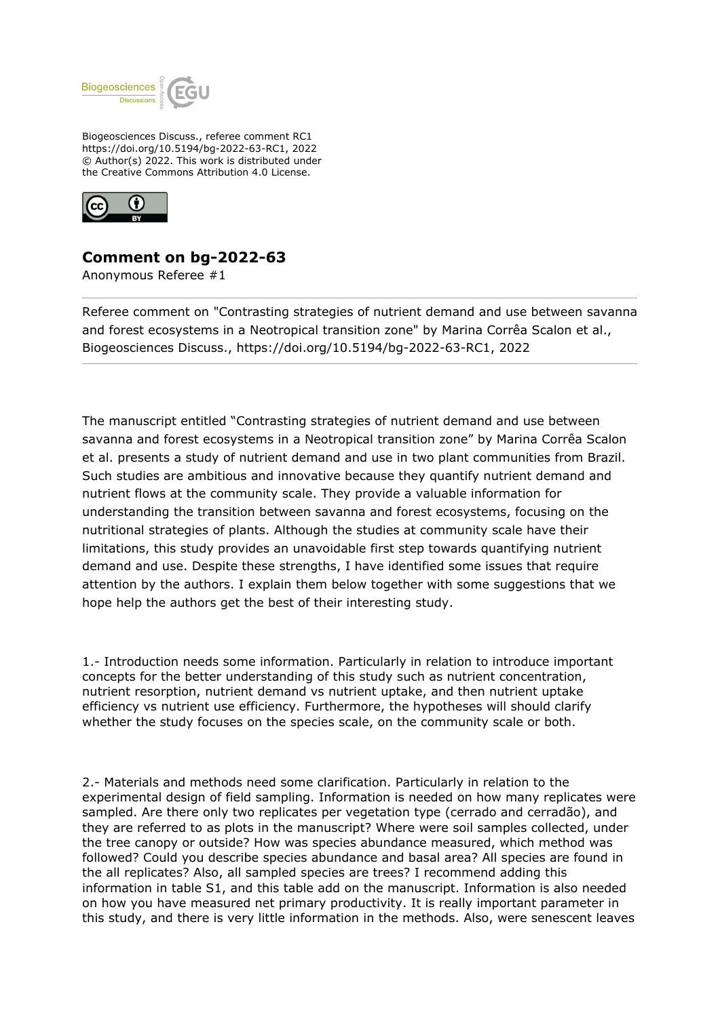

Biogeosciences Discuss., referee comment RC1 https://doi.org/10.5194/bg-2022-63-RC1, 2022 © Author(s) 2022. This work is distributed under the Creative Commons Attribution 4.0 License.



## **Comment on bg-2022-63**

Anonymous Referee #1

Referee comment on "Contrasting strategies of nutrient demand and use between savanna and forest ecosystems in a Neotropical transition zone" by Marina Corrêa Scalon et al., Biogeosciences Discuss., https://doi.org/10.5194/bg-2022-63-RC1, 2022

The manuscript entitled "Contrasting strategies of nutrient demand and use between savanna and forest ecosystems in a Neotropical transition zone" by Marina Corrêa Scalon et al. presents a study of nutrient demand and use in two plant communities from Brazil. Such studies are ambitious and innovative because they quantify nutrient demand and nutrient flows at the community scale. They provide a valuable information for understanding the transition between savanna and forest ecosystems, focusing on the nutritional strategies of plants. Although the studies at community scale have their limitations, this study provides an unavoidable first step towards quantifying nutrient demand and use. Despite these strengths, I have identified some issues that require attention by the authors. I explain them below together with some suggestions that we hope help the authors get the best of their interesting study.

1.- Introduction needs some information. Particularly in relation to introduce important concepts for the better understanding of this study such as nutrient concentration, nutrient resorption, nutrient demand vs nutrient uptake, and then nutrient uptake efficiency vs nutrient use efficiency. Furthermore, the hypotheses will should clarify whether the study focuses on the species scale, on the community scale or both.

2.- Materials and methods need some clarification. Particularly in relation to the experimental design of field sampling. Information is needed on how many replicates were sampled. Are there only two replicates per vegetation type (cerrado and cerradão), and they are referred to as plots in the manuscript? Where were soil samples collected, under the tree canopy or outside? How was species abundance measured, which method was followed? Could you describe species abundance and basal area? All species are found in the all replicates? Also, all sampled species are trees? I recommend adding this information in table S1, and this table add on the manuscript. Information is also needed on how you have measured net primary productivity. It is really important parameter in this study, and there is very little information in the methods. Also, were senescent leaves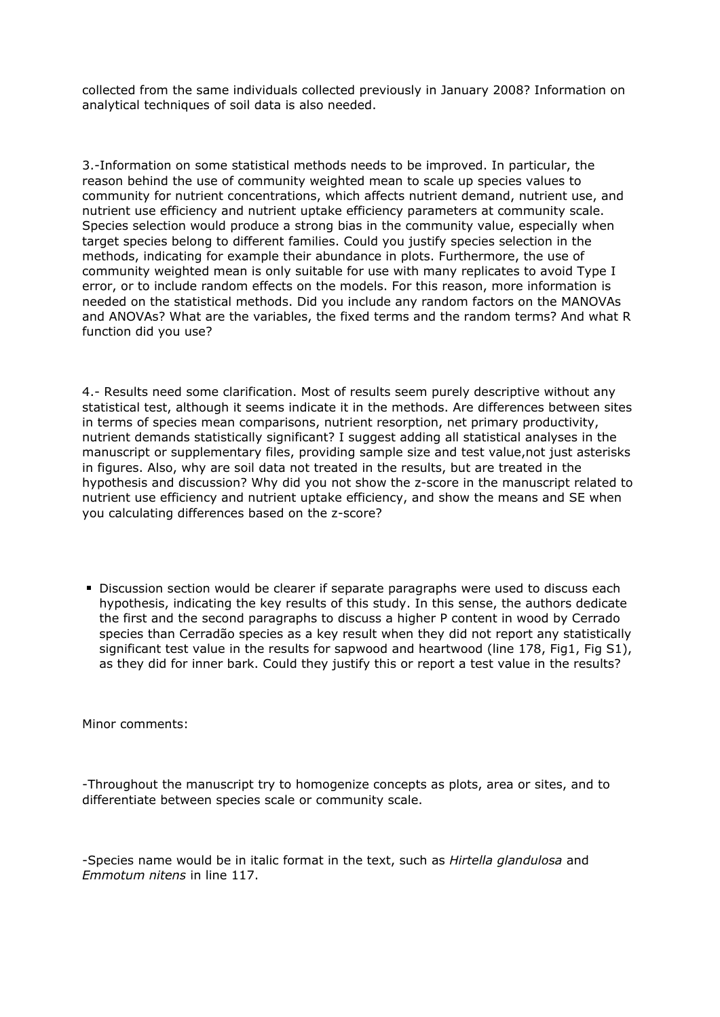collected from the same individuals collected previously in January 2008? Information on analytical techniques of soil data is also needed.

3.-Information on some statistical methods needs to be improved. In particular, the reason behind the use of community weighted mean to scale up species values to community for nutrient concentrations, which affects nutrient demand, nutrient use, and nutrient use efficiency and nutrient uptake efficiency parameters at community scale. Species selection would produce a strong bias in the community value, especially when target species belong to different families. Could you justify species selection in the methods, indicating for example their abundance in plots. Furthermore, the use of community weighted mean is only suitable for use with many replicates to avoid Type I error, or to include random effects on the models. For this reason, more information is needed on the statistical methods. Did you include any random factors on the MANOVAs and ANOVAs? What are the variables, the fixed terms and the random terms? And what R function did you use?

4.- Results need some clarification. Most of results seem purely descriptive without any statistical test, although it seems indicate it in the methods. Are differences between sites in terms of species mean comparisons, nutrient resorption, net primary productivity, nutrient demands statistically significant? I suggest adding all statistical analyses in the manuscript or supplementary files, providing sample size and test value,not just asterisks in figures. Also, why are soil data not treated in the results, but are treated in the hypothesis and discussion? Why did you not show the z-score in the manuscript related to nutrient use efficiency and nutrient uptake efficiency, and show the means and SE when you calculating differences based on the z-score?

Discussion section would be clearer if separate paragraphs were used to discuss each hypothesis, indicating the key results of this study. In this sense, the authors dedicate the first and the second paragraphs to discuss a higher P content in wood by Cerrado species than Cerradão species as a key result when they did not report any statistically significant test value in the results for sapwood and heartwood (line 178, Fig1, Fig S1), as they did for inner bark. Could they justify this or report a test value in the results?

Minor comments:

-Throughout the manuscript try to homogenize concepts as plots, area or sites, and to differentiate between species scale or community scale.

-Species name would be in italic format in the text, such as *Hirtella glandulosa* and *Emmotum nitens* in line 117.